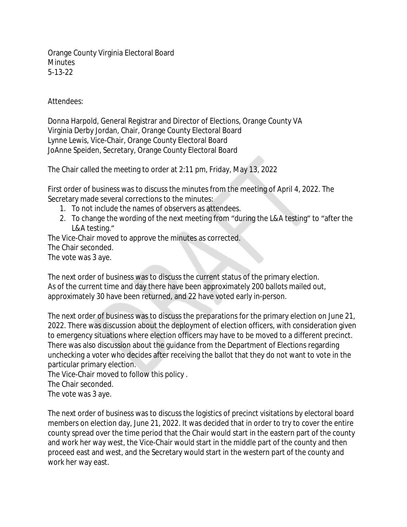Orange County Virginia Electoral Board **Minutes** 5-13-22

Attendees:

Donna Harpold, General Registrar and Director of Elections, Orange County VA Virginia Derby Jordan, Chair, Orange County Electoral Board Lynne Lewis, Vice-Chair, Orange County Electoral Board JoAnne Speiden, Secretary, Orange County Electoral Board

The Chair called the meeting to order at 2:11 pm, Friday, May 13, 2022

First order of business was to discuss the minutes from the meeting of April 4, 2022. The Secretary made several corrections to the minutes:

- 1. To not include the names of observers as attendees.
- 2. To change the wording of the next meeting from "during the L&A testing" to "after the L&A testing."

The Vice-Chair moved to approve the minutes as corrected. The Chair seconded. The vote was 3 aye.

The next order of business was to discuss the current status of the primary election. As of the current time and day there have been approximately 200 ballots mailed out, approximately 30 have been returned, and 22 have voted early in-person.

The next order of business was to discuss the preparations for the primary election on June 21, 2022. There was discussion about the deployment of election officers, with consideration given to emergency situations where election officers may have to be moved to a different precinct. There was also discussion about the guidance from the Department of Elections regarding unchecking a voter who decides after receiving the ballot that they do not want to vote in the particular primary election.

The Vice-Chair moved to follow this policy .

The Chair seconded.

The vote was 3 aye.

The next order of business was to discuss the logistics of precinct visitations by electoral board members on election day, June 21, 2022. It was decided that in order to try to cover the entire county spread over the time period that the Chair would start in the eastern part of the county and work her way west, the Vice-Chair would start in the middle part of the county and then proceed east and west, and the Secretary would start in the western part of the county and work her way east.